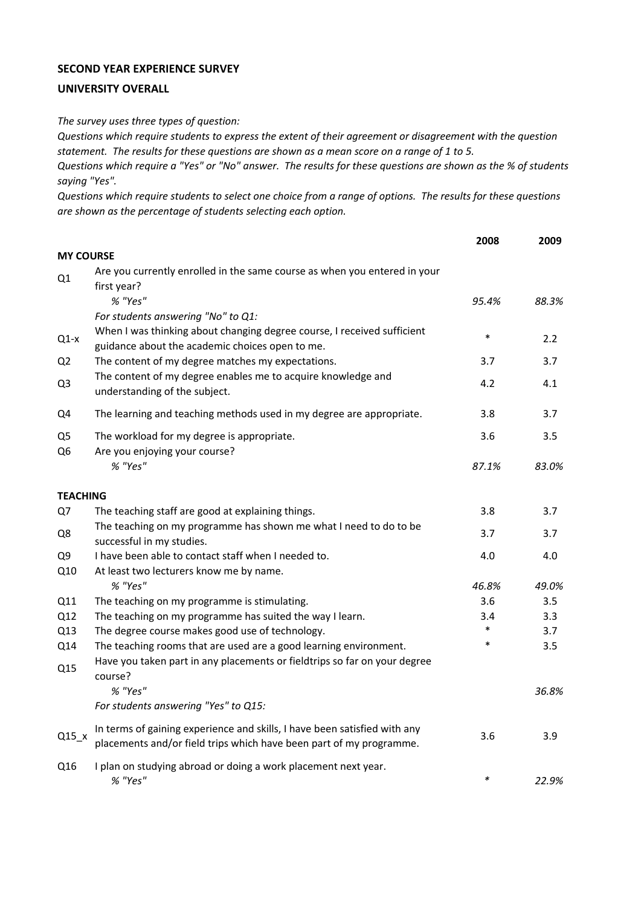## **SECOND YEAR EXPERIENCE SURVEY**

## **UNIVERSITY OVERALL**

*The survey uses three types of question:*

*Questions which require students to express the extent of their agreement or disagreement with the question statement. The results for these questions are shown as a mean score on a range of 1 to 5.*

*Questions which require a "Yes" or "No" answer. The results for these questions are shown as the % of students saying "Yes".*

*Questions which require students to select one choice from a range of options. The results for these questions are shown as the percentage of students selecting each option.*

|                                  |                                                                                                                                                  | 2008   | 2009  |
|----------------------------------|--------------------------------------------------------------------------------------------------------------------------------------------------|--------|-------|
| <b>MY COURSE</b>                 |                                                                                                                                                  |        |       |
| Q1                               | Are you currently enrolled in the same course as when you entered in your<br>first year?                                                         |        |       |
|                                  | % "Yes"                                                                                                                                          | 95.4%  | 88.3% |
|                                  | For students answering "No" to Q1:                                                                                                               |        |       |
| $Q1-x$                           | When I was thinking about changing degree course, I received sufficient<br>guidance about the academic choices open to me.                       | $\ast$ | 2.2   |
| Q <sub>2</sub>                   | The content of my degree matches my expectations.                                                                                                | 3.7    | 3.7   |
| Q <sub>3</sub>                   | The content of my degree enables me to acquire knowledge and<br>understanding of the subject.                                                    | 4.2    | 4.1   |
| Q4                               | The learning and teaching methods used in my degree are appropriate.                                                                             | 3.8    | 3.7   |
| Q <sub>5</sub><br>Q <sub>6</sub> | The workload for my degree is appropriate.<br>Are you enjoying your course?                                                                      | 3.6    | 3.5   |
|                                  | % "Yes"                                                                                                                                          | 87.1%  | 83.0% |
| <b>TEACHING</b>                  |                                                                                                                                                  |        |       |
| Q7                               | The teaching staff are good at explaining things.                                                                                                | 3.8    | 3.7   |
| Q8                               | The teaching on my programme has shown me what I need to do to be<br>successful in my studies.                                                   | 3.7    | 3.7   |
| Q9                               | I have been able to contact staff when I needed to.                                                                                              | 4.0    | 4.0   |
| Q10                              | At least two lecturers know me by name.                                                                                                          |        |       |
|                                  | % "Yes"                                                                                                                                          | 46.8%  | 49.0% |
| Q11                              | The teaching on my programme is stimulating.                                                                                                     | 3.6    | 3.5   |
| Q12                              | The teaching on my programme has suited the way I learn.                                                                                         | 3.4    | 3.3   |
| Q13                              | The degree course makes good use of technology.                                                                                                  | $\ast$ | 3.7   |
| Q14                              | The teaching rooms that are used are a good learning environment.                                                                                | $\ast$ | 3.5   |
| Q15                              | Have you taken part in any placements or fieldtrips so far on your degree<br>course?                                                             |        |       |
|                                  | % "Yes"                                                                                                                                          |        | 36.8% |
|                                  | For students answering "Yes" to Q15:                                                                                                             |        |       |
| $Q15_x$                          | In terms of gaining experience and skills, I have been satisfied with any<br>placements and/or field trips which have been part of my programme. | 3.6    | 3.9   |
| Q16                              | I plan on studying abroad or doing a work placement next year.<br>% "Yes"                                                                        | $\ast$ | 22.9% |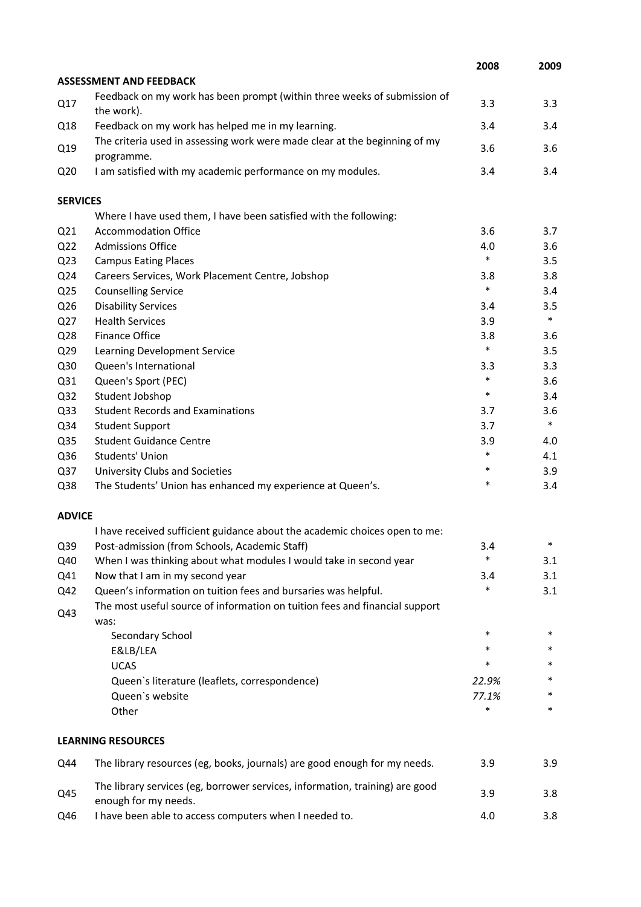|                 |                                                                                                      | 2008   | 2009   |
|-----------------|------------------------------------------------------------------------------------------------------|--------|--------|
|                 | <b>ASSESSMENT AND FEEDBACK</b>                                                                       |        |        |
| Q17             | Feedback on my work has been prompt (within three weeks of submission of<br>the work).               | 3.3    | 3.3    |
| Q18             | Feedback on my work has helped me in my learning.                                                    | 3.4    | 3.4    |
| Q19             | The criteria used in assessing work were made clear at the beginning of my<br>programme.             | 3.6    | 3.6    |
| Q <sub>20</sub> | I am satisfied with my academic performance on my modules.                                           | 3.4    | 3.4    |
| <b>SERVICES</b> |                                                                                                      |        |        |
|                 | Where I have used them, I have been satisfied with the following:                                    |        |        |
| Q <sub>21</sub> | <b>Accommodation Office</b>                                                                          | 3.6    | 3.7    |
| Q <sub>22</sub> | <b>Admissions Office</b>                                                                             | 4.0    | 3.6    |
| Q <sub>23</sub> | <b>Campus Eating Places</b>                                                                          | $\ast$ | 3.5    |
| Q24             | Careers Services, Work Placement Centre, Jobshop                                                     | 3.8    | 3.8    |
| Q <sub>25</sub> | <b>Counselling Service</b>                                                                           | $\ast$ | 3.4    |
| Q26             | <b>Disability Services</b>                                                                           | 3.4    | 3.5    |
| Q27             | <b>Health Services</b>                                                                               | 3.9    | $\ast$ |
| Q28             | <b>Finance Office</b>                                                                                | 3.8    | 3.6    |
| Q <sub>29</sub> | Learning Development Service                                                                         | $\ast$ | 3.5    |
| Q30             | Queen's International                                                                                | 3.3    | 3.3    |
| Q31             | Queen's Sport (PEC)                                                                                  | *      | 3.6    |
| Q <sub>32</sub> | Student Jobshop                                                                                      | $\ast$ | 3.4    |
| Q <sub>33</sub> | <b>Student Records and Examinations</b>                                                              | 3.7    | 3.6    |
| Q34             | <b>Student Support</b>                                                                               | 3.7    | $\ast$ |
| Q <sub>35</sub> | <b>Student Guidance Centre</b>                                                                       | 3.9    | 4.0    |
| Q36             | Students' Union                                                                                      | *      | 4.1    |
| Q <sub>37</sub> | University Clubs and Societies                                                                       | $\ast$ | 3.9    |
| Q38             | The Students' Union has enhanced my experience at Queen's.                                           | *      | 3.4    |
| <b>ADVICE</b>   |                                                                                                      |        |        |
|                 | I have received sufficient guidance about the academic choices open to me:                           |        |        |
| Q39             | Post-admission (from Schools, Academic Staff)                                                        | 3.4    | ж      |
| Q40             | When I was thinking about what modules I would take in second year                                   | *      | 3.1    |
| Q41             | Now that I am in my second year                                                                      | 3.4    | 3.1    |
| Q42             | Queen's information on tuition fees and bursaries was helpful.                                       | *      | 3.1    |
| Q43             | The most useful source of information on tuition fees and financial support<br>was:                  |        |        |
|                 | Secondary School                                                                                     | $\ast$ | $\ast$ |
|                 | E&LB/LEA                                                                                             | *      | *      |
|                 | <b>UCAS</b>                                                                                          | *      | *      |
|                 | Queen's literature (leaflets, correspondence)                                                        | 22.9%  | *      |
|                 | Queen's website                                                                                      | 77.1%  | *      |
|                 | Other                                                                                                | *      | *      |
|                 | <b>LEARNING RESOURCES</b>                                                                            |        |        |
| Q44             | The library resources (eg, books, journals) are good enough for my needs.                            | 3.9    | 3.9    |
| Q45             | The library services (eg, borrower services, information, training) are good<br>enough for my needs. | 3.9    | 3.8    |
| Q46             | I have been able to access computers when I needed to.                                               | 4.0    | 3.8    |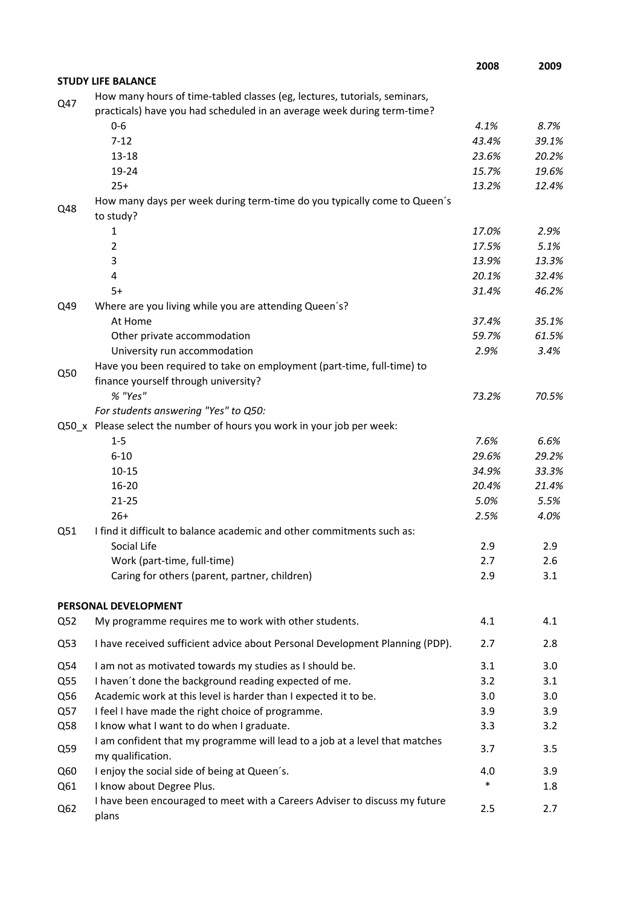|     |                                                                                                                                                      | 2008   | 2009  |
|-----|------------------------------------------------------------------------------------------------------------------------------------------------------|--------|-------|
|     | <b>STUDY LIFE BALANCE</b>                                                                                                                            |        |       |
| Q47 | How many hours of time-tabled classes (eg, lectures, tutorials, seminars,<br>practicals) have you had scheduled in an average week during term-time? |        |       |
|     | $0 - 6$                                                                                                                                              | 4.1%   | 8.7%  |
|     | $7 - 12$                                                                                                                                             | 43.4%  | 39.1% |
|     | 13-18                                                                                                                                                | 23.6%  | 20.2% |
|     | 19-24                                                                                                                                                | 15.7%  | 19.6% |
|     | $25+$                                                                                                                                                | 13.2%  | 12.4% |
| Q48 | How many days per week during term-time do you typically come to Queen's<br>to study?                                                                |        |       |
|     | 1                                                                                                                                                    | 17.0%  | 2.9%  |
|     | $\overline{2}$                                                                                                                                       | 17.5%  | 5.1%  |
|     | 3                                                                                                                                                    | 13.9%  | 13.3% |
|     | 4                                                                                                                                                    | 20.1%  | 32.4% |
|     | $5+$                                                                                                                                                 | 31.4%  | 46.2% |
| Q49 | Where are you living while you are attending Queen's?                                                                                                |        |       |
|     | At Home                                                                                                                                              | 37.4%  | 35.1% |
|     | Other private accommodation                                                                                                                          | 59.7%  | 61.5% |
|     | University run accommodation                                                                                                                         | 2.9%   | 3.4%  |
| Q50 | Have you been required to take on employment (part-time, full-time) to<br>finance yourself through university?                                       |        |       |
|     | % "Yes"                                                                                                                                              | 73.2%  | 70.5% |
|     | For students answering "Yes" to Q50:                                                                                                                 |        |       |
|     | Q50_x Please select the number of hours you work in your job per week:                                                                               |        |       |
|     | $1 - 5$                                                                                                                                              | 7.6%   | 6.6%  |
|     | $6 - 10$                                                                                                                                             | 29.6%  | 29.2% |
|     | $10 - 15$                                                                                                                                            | 34.9%  | 33.3% |
|     | $16 - 20$                                                                                                                                            | 20.4%  | 21.4% |
|     | $21 - 25$                                                                                                                                            | 5.0%   | 5.5%  |
|     | $26+$                                                                                                                                                | 2.5%   | 4.0%  |
| Q51 | I find it difficult to balance academic and other commitments such as:                                                                               |        |       |
|     | Social Life                                                                                                                                          | 2.9    | 2.9   |
|     | Work (part-time, full-time)                                                                                                                          | 2.7    | 2.6   |
|     | Caring for others (parent, partner, children)                                                                                                        | 2.9    | 3.1   |
|     | PERSONAL DEVELOPMENT                                                                                                                                 |        |       |
| Q52 | My programme requires me to work with other students.                                                                                                | 4.1    | 4.1   |
| Q53 | I have received sufficient advice about Personal Development Planning (PDP).                                                                         | 2.7    | 2.8   |
| Q54 | I am not as motivated towards my studies as I should be.                                                                                             | 3.1    | 3.0   |
| Q55 | I haven't done the background reading expected of me.                                                                                                | 3.2    | 3.1   |
| Q56 | Academic work at this level is harder than I expected it to be.                                                                                      | 3.0    | 3.0   |
| Q57 | I feel I have made the right choice of programme.                                                                                                    | 3.9    | 3.9   |
| Q58 | I know what I want to do when I graduate.                                                                                                            | 3.3    | 3.2   |
| Q59 | I am confident that my programme will lead to a job at a level that matches<br>my qualification.                                                     | 3.7    | 3.5   |
| Q60 | I enjoy the social side of being at Queen's.                                                                                                         | 4.0    | 3.9   |
| Q61 | I know about Degree Plus.                                                                                                                            | $\ast$ | 1.8   |
| Q62 | I have been encouraged to meet with a Careers Adviser to discuss my future<br>plans                                                                  | 2.5    | 2.7   |